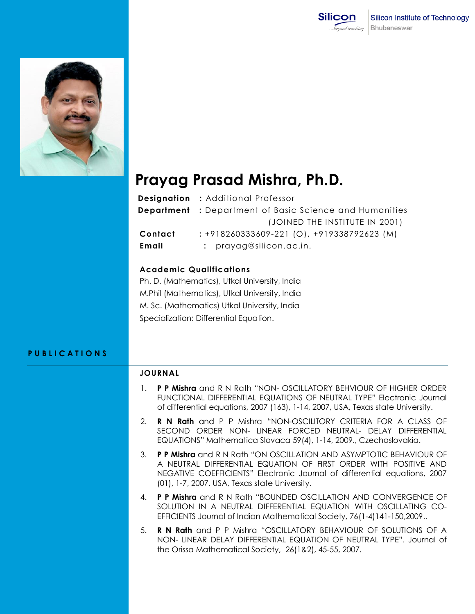

# **Prayag Prasad Mishra, Ph.D.**

|         | Designation : Additional Professor                             |
|---------|----------------------------------------------------------------|
|         | <b>Department</b> : Department of Basic Science and Humanities |
|         | (JOINED THE INSTITUTE IN 2001)                                 |
| Contact | $: +918260333609 - 221 (O), +919338792623 (M)$                 |
| Email   | : prayag@silicon.ac.in.                                        |

## **Academic Qualifications**

Ph. D. (Mathematics), Utkal University, India M.Phil (Mathematics), Utkal University, India M. Sc. (Mathematics) Utkal University, India Specialization: Differential Equation.

## **P U B L I C A T I O N S**

#### **JOURNAL**

- 1. **P P Mishra** and R N Rath "NON- OSCILLATORY BEHVIOUR OF HIGHER ORDER FUNCTIONAL DIFFERENTIAL EQUATIONS OF NEUTRAL TYPE" Electronic Journal of differential equations, 2007 (163), 1-14, 2007, USA, Texas state University.
- 2. **R N Rath** and P P Mishra "NON-OSCILITORY CRITERIA FOR A CLASS OF SECOND ORDER NON- LINEAR FORCED NEUTRAL- DELAY DIFFERENTIAL EQUATIONS" Mathematica Slovaca 59(4), 1-14, 2009., Czechoslovakia.
- 3. **P P Mishra** and R N Rath "ON OSCILLATION AND ASYMPTOTIC BEHAVIOUR OF A NEUTRAL DIFFERENTIAL EQUATION OF FIRST ORDER WITH POSITIVE AND NEGATIVE COEFFICIENTS" Electronic Journal of differential equations, 2007 (01), 1-7, 2007, USA, Texas state University.
- 4. **P P Mishra** and R N Rath "BOUNDED OSCILLATION AND CONVERGENCE OF SOLUTION IN A NEUTRAL DIFFERENTIAL EQUATION WITH OSCILLATING CO-EFFICIENTS Journal of Indian Mathematical Society, 76(1-4)141-150,2009..
- 5. **R N Rath** and P P Mishra "OSCILLATORY BEHAVIOUR OF SOLUTIONS OF A NON- LINEAR DELAY DIFFERENTIAL EQUATION OF NEUTRAL TYPE". Journal of the Orissa Mathematical Society, 26(1&2), 45-55, 2007.